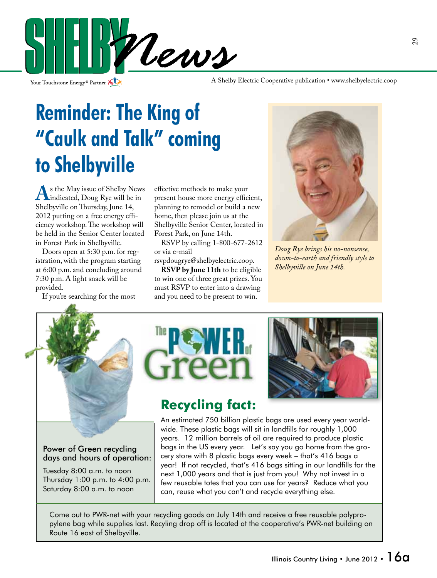

Your Touchstone Energy® Partner

A Shelby Electric Cooperative publication • www.shelbyelectric.coop

## **Reminder: The King of "Caulk and Talk" coming to Shelbyville**

**A**s the May issue of Shelby News<br>
Shelbyville on Thursday June 14 Shelbyville on Thursday, June 14, 2012 putting on a free energy efficiency workshop. The workshop will be held in the Senior Center located in Forest Park in Shelbyville.

 Doors open at 5:30 p.m. for registration, with the program starting at 6:00 p.m. and concluding around 7:30 p.m. A light snack will be provided.

If you're searching for the most

effective methods to make your present house more energy efficient, planning to remodel or build a new home, then please join us at the Shelbyville Senior Center, located in Forest Park, on June 14th.

 RSVP by calling 1-800-677-2612 or via e-mail

rsvpdougrye@shelbyelectric.coop. **RSVP by June 11th** to be eligible to win one of three great prizes. You must RSVP to enter into a drawing

and you need to be present to win.



*Doug Rye brings his no-nonsense, down-to-earth and friendly style to Shelbyville on June 14th.*



Power of Green recycling days and hours of operation:

Tuesday 8:00 a.m. to noon Thursday 1:00 p.m. to 4:00 p.m. Saturday 8:00 a.m. to noon





### **Recycling fact:**

An estimated 750 billion plastic bags are used every year worldwide. These plastic bags will sit in landfills for roughly 1,000 years. 12 million barrels of oil are required to produce plastic bags in the US every year. Let's say you go home from the grocery store with 8 plastic bags every week – that's 416 bags a year! If not recycled, that's 416 bags sitting in our landfills for the next 1,000 years and that is just from you! Why not invest in a few reusable totes that you can use for years? Reduce what you can, reuse what you can't and recycle everything else.

Come out to PWR-net with your recycling goods on July 14th and receive a free reusable polypropylene bag while supplies last. Recyling drop off is located at the cooperative's PWR-net building on Route 16 east of Shelbyville.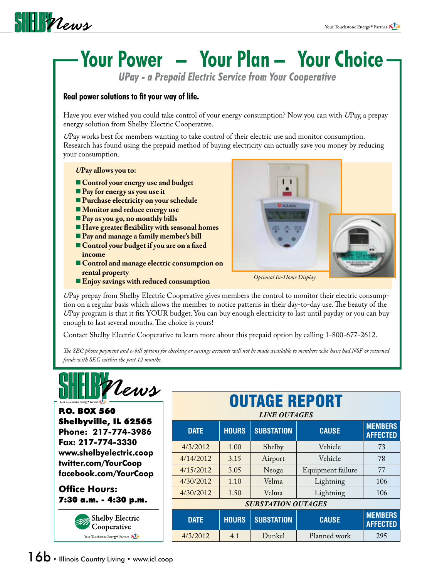

# **Your Power – Your Plan – Your Choice**

*UPay - a Prepaid Electric Service from Your Cooperative*

#### **Real power solutions to fit your way of life.**

Have you ever wished you could take control of your energy consumption? Now you can with *U*Pay, a prepay energy solution from Shelby Electric Cooperative.

*U*Pay works best for members wanting to take control of their electric use and monitor consumption. Research has found using the prepaid method of buying electricity can actually save you money by reducing your consumption.

#### *U***Pay allows you to:**

- **Control your energy use and budget**
- **Pay for energy as you use it**
- **Purchase electricity on your schedule**
- **Monitor and reduce energy use**
- **Pay as you go, no monthly bills**
- **Have greater flexibility with seasonal homes**
- **Pay and manage a family member's bill**
- **Control your budget if you are on a fixed income**
- **Control and manage electric consumption on rental property**

*U*Pay prepay from Shelby Electric Cooperative gives members the control to monitor their electric consumption on a regular basis which allows the member to notice patterns in their day-to-day use. The beauty of the *U*Pay program is that it fits YOUR budget. You can buy enough electricity to last until payday or you can buy **Enjoy savings with reduced consumption** *Optional In-Home Display* 

Contact Shelby Electric Cooperative to learn more about this prepaid option by calling 1-800-677-2612.

*The SEC phone payment and e-bill options for checking or savings accounts will not be made available to members who have had NSF or returned funds with SEC within the past 12 months.*



P.O. BOX 560 Shelbyville, IL 62565 **Phone: 217-774-3986 Fax: 217-774-3330 www.shelbyelectric.coop twitter.com/YourCoop facebook.com/YourCoop**

**Office Hours:** 7:30 a.m. - 4:30 p.m.





enough to last several months. The choice is yours!

| <b>OUTAGE REPORT</b><br><b>LINE OUTAGES</b> |              |                   |                   |                                   |
|---------------------------------------------|--------------|-------------------|-------------------|-----------------------------------|
| <b>DATE</b>                                 | <b>HOURS</b> | <b>SUBSTATION</b> | <b>CAUSE</b>      | <b>MEMBERS</b><br><b>AFFECTED</b> |
| 4/3/2012                                    | 1.00         | Shelby            | Vehicle           | 73                                |
| 4/14/2012                                   | 3.15         | Airport           | Vehicle           | 78                                |
| 4/15/2012                                   | 3.05         | Neoga             | Equipment failure | 77                                |
| 4/30/2012                                   | 1.10         | Velma             | Lightning         | 106                               |
| 4/30/2012                                   | 1.50         | Velma             | Lightning         | 106                               |
| <b>SUBSTATION OUTAGES</b>                   |              |                   |                   |                                   |
| <b>DATE</b>                                 | <b>HOURS</b> | <b>SUBSTATION</b> | <b>CAUSE</b>      | <b>MEMBERS</b><br><b>AFFECTED</b> |
| 4/3/2012                                    | 4.1          | Dunkel            | Planned work      | 295                               |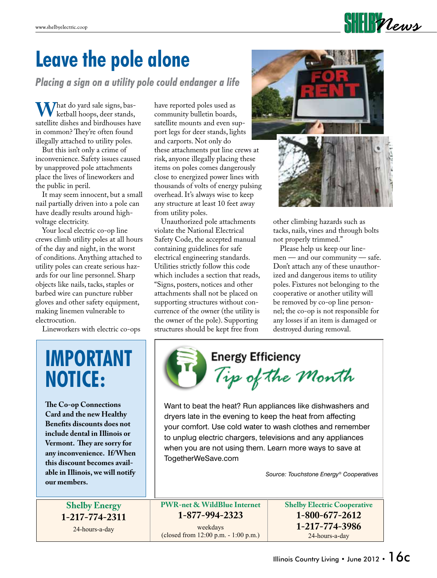

### **Leave the pole alone**

*Placing a sign on a utility pole could endanger a life*

**M** / hat do yard sale signs, basketball hoops, deer stands, satellite dishes and birdhouses have in common? They're often found illegally attached to utility poles.

 But this isn't only a crime of inconvenience. Safety issues caused by unapproved pole attachments place the lives of lineworkers and the public in peril.

 It may seem innocent, but a small nail partially driven into a pole can have deadly results around highvoltage electricity.

Your local electric co-op line crews climb utility poles at all hours of the day and night, in the worst of conditions. Anything attached to utility poles can create serious hazards for our line personnel. Sharp objects like nails, tacks, staples or barbed wire can puncture rubber gloves and other safety equipment, making linemen vulnerable to electrocution.

Lineworkers with electric co-ops

have reported poles used as community bulletin boards, satellite mounts and even support legs for deer stands, lights and carports. Not only do these attachments put line crews at risk, anyone illegally placing these items on poles comes dangerously close to energized power lines with thousands of volts of energy pulsing overhead. It's always wise to keep any structure at least 10 feet away from utility poles.

 Unauthorized pole attachments violate the National Electrical Safety Code, the accepted manual containing guidelines for safe electrical engineering standards. Utilities strictly follow this code which includes a section that reads, "Signs, posters, notices and other attachments shall not be placed on supporting structures without concurrence of the owner (the utility is the owner of the pole). Supporting structures should be kept free from



other climbing hazards such as tacks, nails, vines and through bolts not properly trimmed."

 Please help us keep our linemen — and our community — safe. Don't attach any of these unauthorized and dangerous items to utility poles. Fixtures not belonging to the cooperative or another utility will be removed by co-op line personnel; the co-op is not responsible for any losses if an item is damaged or destroyed during removal.

## **IMPORTANT NOTICE:**

**The Co-op Connections Card and the new Healthy Benefits discounts does not include dental in Illinois or Vermont. They are sorry for any inconvenience. If/When this discount becomes available in Illinois, we will notify our members.**



Want to beat the heat? Run appliances like dishwashers and dryers late in the evening to keep the heat from affecting your comfort. Use cold water to wash clothes and remember to unplug electric chargers, televisions and any appliances when you are not using them. Learn more ways to save at TogetherWeSave.com

*Source: Touchstone Energy® Cooperatives*

**Shelby Energy 1-217-774-2311**

24-hours-a-day

**PWR-net & WildBlue Internet 1-877-994-2323** weekdays (closed from 12:00 p.m. - 1:00 p.m.)

**Shelby Electric Cooperative 1-800-677-2612 1-217-774-3986** 24-hours-a-day